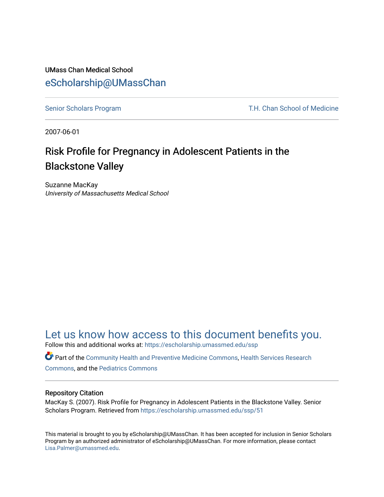## UMass Chan Medical School [eScholarship@UMassChan](https://escholarship.umassmed.edu/)

[Senior Scholars Program](https://escholarship.umassmed.edu/ssp) T.H. Chan School of Medicine

2007-06-01

# Risk Profile for Pregnancy in Adolescent Patients in the Blackstone Valley

Suzanne MacKay University of Massachusetts Medical School

## [Let us know how access to this document benefits you.](https://arcsapps.umassmed.edu/redcap/surveys/?s=XWRHNF9EJE)

Follow this and additional works at: [https://escholarship.umassmed.edu/ssp](https://escholarship.umassmed.edu/ssp?utm_source=escholarship.umassmed.edu%2Fssp%2F51&utm_medium=PDF&utm_campaign=PDFCoverPages) 

Part of the [Community Health and Preventive Medicine Commons](http://network.bepress.com/hgg/discipline/744?utm_source=escholarship.umassmed.edu%2Fssp%2F51&utm_medium=PDF&utm_campaign=PDFCoverPages), [Health Services Research](http://network.bepress.com/hgg/discipline/816?utm_source=escholarship.umassmed.edu%2Fssp%2F51&utm_medium=PDF&utm_campaign=PDFCoverPages)  [Commons](http://network.bepress.com/hgg/discipline/816?utm_source=escholarship.umassmed.edu%2Fssp%2F51&utm_medium=PDF&utm_campaign=PDFCoverPages), and the [Pediatrics Commons](http://network.bepress.com/hgg/discipline/700?utm_source=escholarship.umassmed.edu%2Fssp%2F51&utm_medium=PDF&utm_campaign=PDFCoverPages)

#### Repository Citation

MacKay S. (2007). Risk Profile for Pregnancy in Adolescent Patients in the Blackstone Valley. Senior Scholars Program. Retrieved from [https://escholarship.umassmed.edu/ssp/51](https://escholarship.umassmed.edu/ssp/51?utm_source=escholarship.umassmed.edu%2Fssp%2F51&utm_medium=PDF&utm_campaign=PDFCoverPages)

This material is brought to you by eScholarship@UMassChan. It has been accepted for inclusion in Senior Scholars Program by an authorized administrator of eScholarship@UMassChan. For more information, please contact [Lisa.Palmer@umassmed.edu](mailto:Lisa.Palmer@umassmed.edu).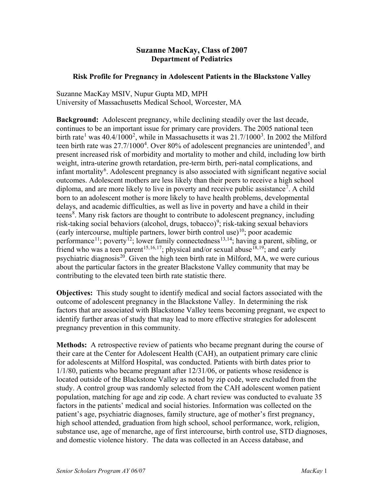### **Suzanne MacKay, Class of 2007 Department of Pediatrics**

### **Risk Profile for Pregnancy in Adolescent Patients in the Blackstone Valley**

Suzanne MacKay MSIV, Nupur Gupta MD, MPH University of Massachusetts Medical School, Worcester, MA

**Background:** Adolescent pregnancy, while declining steadily over the last decade, continues to be an important issue for primary care providers. The 2005 national teen birth rate<sup>[1](#page-2-0)</sup> was 40.4/1000<sup>[2](#page-2-1)</sup>, while in Massachusetts it was  $21.7/1000^3$  $21.7/1000^3$ . In 2002 the Milford teen birth rate was  $27.7/1000<sup>4</sup>$  $27.7/1000<sup>4</sup>$  $27.7/1000<sup>4</sup>$ . Over 80% of adolescent pregnancies are unintended<sup>[5](#page-2-4)</sup>, and present increased risk of morbidity and mortality to mother and child, including low birth weight, intra-uterine growth retardation, pre-term birth, peri-natal complications, and infant mortality<sup>[6](#page-2-5)</sup>. Adolescent pregnancy is also associated with significant negative social outcomes. Adolescent mothers are less likely than their peers to receive a high school diploma, and are more likely to live in poverty and receive public assistance<sup>[7](#page-2-6)</sup>. A child born to an adolescent mother is more likely to have health problems, developmental delays, and academic difficulties, as well as live in poverty and have a child in their teens<sup>[8](#page-2-7)</sup>. Many risk factors are thought to contribute to adolescent pregnancy, including risk-taking social behaviors (alcohol, drugs, tobacco)<sup>[9](#page-2-8)</sup>; risk-taking sexual behaviors (early intercourse, multiple partners, lower birth control use)<sup>[10](#page-2-9)</sup>; poor academic performance<sup>[11](#page-2-10)</sup>; poverty<sup>12</sup>; lower family connectedness<sup>[13,](#page-2-12)[14](#page-2-13)</sup>; having a parent, sibling, or friend who was a teen parent<sup>[15,](#page-2-14)[16](#page-2-15),17</sup>; physical and/or sexual abuse<sup>[18](#page-2-17),19</sup>; and early psychiatric diagnosis<sup>20</sup>. Given the high teen birth rate in Milford, MA, we were curious about the particular factors in the greater Blackstone Valley community that may be contributing to the elevated teen birth rate statistic there.

**Objectives:** This study sought to identify medical and social factors associated with the outcome of adolescent pregnancy in the Blackstone Valley. In determining the risk factors that are associated with Blackstone Valley teens becoming pregnant, we expect to identify further areas of study that may lead to more effective strategies for adolescent pregnancy prevention in this community.

**Methods:** A retrospective review of patients who became pregnant during the course of their care at the Center for Adolescent Health (CAH), an outpatient primary care clinic for adolescents at Milford Hospital, was conducted. Patients with birth dates prior to 1/1/80, patients who became pregnant after 12/31/06, or patients whose residence is located outside of the Blackstone Valley as noted by zip code, were excluded from the study. A control group was randomly selected from the CAH adolescent women patient population, matching for age and zip code. A chart review was conducted to evaluate 35 factors in the patients' medical and social histories. Information was collected on the patient's age, psychiatric diagnoses, family structure, age of mother's first pregnancy, high school attended, graduation from high school, school performance, work, religion, substance use, age of menarche, age of first intercourse, birth control use, STD diagnoses, and domestic violence history. The data was collected in an Access database, and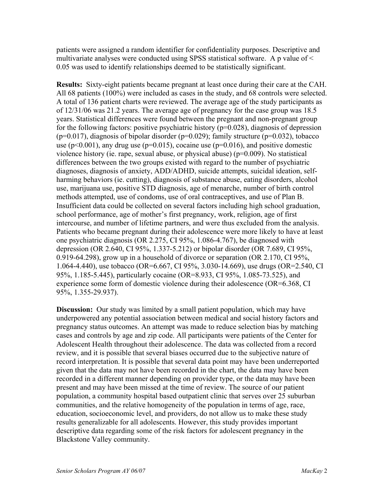patients were assigned a random identifier for confidentiality purposes. Descriptive and multivariate analyses were conducted using SPSS statistical software. A p value of < 0.05 was used to identify relationships deemed to be statistically significant.

<span id="page-2-1"></span><span id="page-2-0"></span>**Results:** Sixty-eight patients became pregnant at least once during their care at the CAH. All 68 patients (100%) were included as cases in the study, and 68 controls were selected. A total of 136 patient charts were reviewed. The average age of the study participants as of 12/31/06 was 21.2 years. The average age of pregnancy for the case group was 18.5 years. Statistical differences were found between the pregnant and non-pregnant group for the following factors: positive psychiatric history ( $p=0.028$ ), diagnosis of depression ( $p=0.017$ ), diagnosis of bipolar disorder ( $p=0.029$ ); family structure ( $p=0.032$ ), tobacco use ( $p<0.001$ ), any drug use ( $p=0.015$ ), cocaine use ( $p=0.016$ ), and positive domestic violence history (ie. rape, sexual abuse, or physical abuse) ( $p=0.009$ ). No statistical differences between the two groups existed with regard to the number of psychiatric diagnoses, diagnosis of anxiety, ADD/ADHD, suicide attempts, suicidal ideation, selfharming behaviors (ie. cutting), diagnosis of substance abuse, eating disorders, alcohol use, marijuana use, positive STD diagnosis, age of menarche, number of birth control methods attempted, use of condoms, use of oral contraceptives, and use of Plan B. Insufficient data could be collected on several factors including high school graduation, school performance, age of mother's first pregnancy, work, religion, age of first intercourse, and number of lifetime partners, and were thus excluded from the analysis. Patients who became pregnant during their adolescence were more likely to have at least one psychiatric diagnosis (OR 2.275, CI 95%, 1.086-4.767), be diagnosed with depression (OR 2.640, CI 95%, 1.337-5.212) or bipolar disorder (OR 7.689, CI 95%, 0.919-64.298), grow up in a household of divorce or separation (OR 2.170, CI 95%, 1.064-4.440), use tobacco (OR=6.667, CI 95%, 3.030-14.669), use drugs (OR=2.540, CI 95%, 1.185-5.445), particularly cocaine (OR=8.933, CI 95%, 1.085-73.525), and experience some form of domestic violence during their adolescence (OR=6.368, CI 95%, 1.355-29.937).

<span id="page-2-19"></span><span id="page-2-18"></span><span id="page-2-17"></span><span id="page-2-16"></span><span id="page-2-15"></span><span id="page-2-14"></span><span id="page-2-13"></span><span id="page-2-12"></span><span id="page-2-11"></span><span id="page-2-10"></span><span id="page-2-9"></span><span id="page-2-8"></span><span id="page-2-7"></span><span id="page-2-6"></span><span id="page-2-5"></span><span id="page-2-4"></span><span id="page-2-3"></span><span id="page-2-2"></span>**Discussion:** Our study was limited by a small patient population, which may have underpowered any potential association between medical and social history factors and pregnancy status outcomes. An attempt was made to reduce selection bias by matching cases and controls by age and zip code. All participants were patients of the Center for Adolescent Health throughout their adolescence. The data was collected from a record review, and it is possible that several biases occurred due to the subjective nature of record interpretation. It is possible that several data point may have been underreported given that the data may not have been recorded in the chart, the data may have been recorded in a different manner depending on provider type, or the data may have been present and may have been missed at the time of review. The source of our patient population, a community hospital based outpatient clinic that serves over 25 suburban communities, and the relative homogeneity of the population in terms of age, race, education, socioeconomic level, and providers, do not allow us to make these study results generalizable for all adolescents. However, this study provides important descriptive data regarding some of the risk factors for adolescent pregnancy in the Blackstone Valley community.